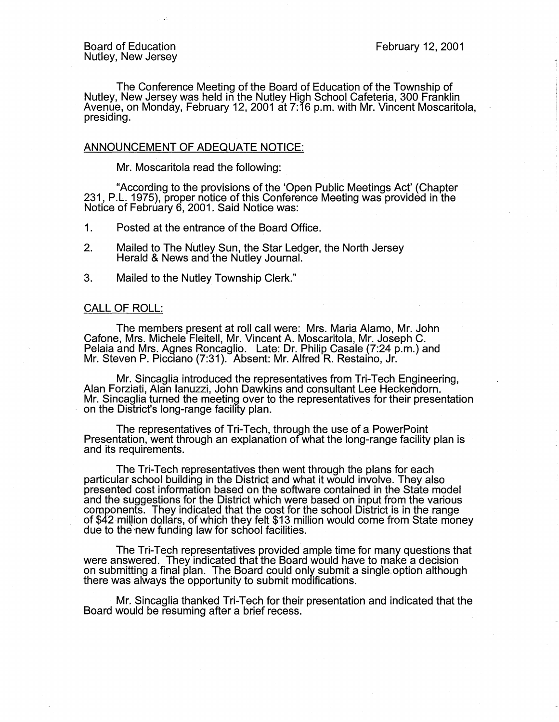The Conference Meeting of the Board of Education of the Township of Nutley, New Jersey was held in the Nutley High School Cafeteria, 300 Franklin Avenue, on Monday, February 12, 2001 at 7:16 p.m. with Mr. Vincent Moscaritola, presiding.

## ANNOUNCEMENT OF ADEQUATE NOTICE:

Mr. Moscaritola read the following:

"According to the provisions of the 'Open Public Meetings Act' (Chapter 231, P.L. 1975), proper notice of this Conference Meeting was provided in the Notice of February 6, 2001. Said Notice was:

1. Posted at the entrance of the Board Office.

- 2. Mailed to The Nutley Sun, the Star Ledger, the North Jersey Herald & News and the Nutley Journal.
- 3. Mailed to the Nutley Township Clerk."

#### CALL OF ROLL:

The members present at roll call were: Mrs. Maria Alamo, Mr. John Catone, Mrs. Michele Fleitell, Mr. Vincent A. Moscaritola, Mr. Joseph C. Pelaia and Mrs. AQnes Roncaglio. Late: Dr. Philip Casale (7:24 p.m.) and Mr. Steven P. Picciano (7:31 ). Absent: Mr. Alfred R. Restaino, Jr.

Mr. Sincaglia introduced the representatives from Tri-Tech Engineering, Alan Forziati, Alan Ianuzzi, John Dawkins and consultant Lee Heckendorn. Mr. Sincaglia turned the meeting over to the representatives for their presentation on the District's long-range facility plan.

The representatives of Tri-Tech, through the use of a PowerPoint Presentation, went through an explanation ofwhat the long-range facility plan is and its requirements.

The Tri-Tech representatives then went through the plans for each particular school building in the District and what it would involve. They also presented cost information based on the software contained in the State model and the suggestions for the District which were based on input from the various components. They indicated that the cost for the school District is in the range of \$42 millior, dollars, of which they felt \$13 million would come from State money due to the new funding law for school facilities.

The Tri-Tech representatives provided ample time for many questions that were answered. They indicated that the Board would have to make a decision on submitting a final plan. The Board could only submit a single.option although there was always the opportunity to submit modifications.

Mr. Sincaglia thanked Tri-Tech for their presentation and indicated that the Board would be resuming after a brief recess. .